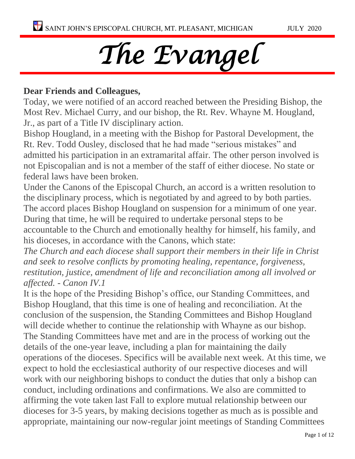# *The Evangel*

### **Dear Friends and Colleagues,**

Today, we were notified of an accord reached between the Presiding Bishop, the Most Rev. Michael Curry, and our bishop, the Rt. Rev. Whayne M. Hougland, Jr., as part of a Title IV disciplinary action.

Bishop Hougland, in a meeting with the Bishop for Pastoral Development, the Rt. Rev. Todd Ousley, disclosed that he had made "serious mistakes" and admitted his participation in an extramarital affair. The other person involved is not Episcopalian and is not a member of the staff of either diocese. No state or federal laws have been broken.

Under the Canons of the Episcopal Church, an accord is a written resolution to the disciplinary process, which is negotiated by and agreed to by both parties. The accord places Bishop Hougland on suspension for a minimum of one year. During that time, he will be required to undertake personal steps to be accountable to the Church and emotionally healthy for himself, his family, and his dioceses, in accordance with the Canons, which state:

*The Church and each diocese shall support their members in their life in Christ and seek to resolve conflicts by promoting healing, repentance, forgiveness, restitution, justice, amendment of life and reconciliation among all involved or affected. - Canon IV.1*

It is the hope of the Presiding Bishop's office, our Standing Committees, and Bishop Hougland, that this time is one of healing and reconciliation. At the conclusion of the suspension, the Standing Committees and Bishop Hougland will decide whether to continue the relationship with Whayne as our bishop. The Standing Committees have met and are in the process of working out the details of the one-year leave, including a plan for maintaining the daily operations of the dioceses. Specifics will be available next week. At this time, we expect to hold the ecclesiastical authority of our respective dioceses and will work with our neighboring bishops to conduct the duties that only a bishop can conduct, including ordinations and confirmations. We also are committed to affirming the vote taken last Fall to explore mutual relationship between our dioceses for 3-5 years, by making decisions together as much as is possible and appropriate, maintaining our now-regular joint meetings of Standing Committees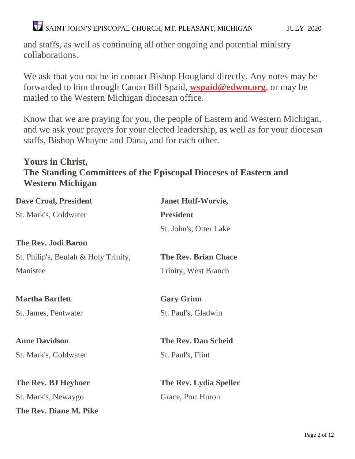$\bullet$  SAINT JOHN'S EPISCOPAL CHURCH, MT. PLEASANT, MICHIGAN  $\bullet$  JULY 2020

and staffs, as well as continuing all other ongoing and potential ministry collaborations.

We ask that you not be in contact Bishop Hougland directly. Any notes may be forwarded to him through Canon Bill Spaid, **[wspaid@edwm.org](mailto:wspaid@edwm.org)**, or may be mailed to the Western Michigan diocesan office.

Know that we are praying for you, the people of Eastern and Western Michigan, and we ask your prayers for your elected leadership, as well as for your diocesan staffs, Bishop Whayne and Dana, and for each other.

### **Yours in Christ, The Standing Committees of the Episcopal Dioceses of Eastern and Western Michigan**

| <b>Dave Croal, President</b>         | <b>Janet Huff-Worvie,</b>   |
|--------------------------------------|-----------------------------|
| St. Mark's, Coldwater                | <b>President</b>            |
|                                      | St. John's, Otter Lake      |
| <b>The Rev. Jodi Baron</b>           |                             |
| St. Philip's, Beulah & Holy Trinity, | <b>The Rev. Brian Chace</b> |
| Manistee                             | <b>Trinity, West Branch</b> |
| <b>Martha Bartlett</b>               | <b>Gary Grinn</b>           |
|                                      |                             |
| St. James, Pentwater                 | St. Paul's, Gladwin         |
| <b>Anne Davidson</b>                 | <b>The Rev. Dan Scheid</b>  |
| St. Mark's, Coldwater                | St. Paul's, Flint           |
| The Rev. BJ Heyboer                  | The Rev. Lydia Speller      |
| St. Mark's, Newaygo                  | Grace, Port Huron           |
|                                      |                             |
| The Rev. Diane M. Pike               |                             |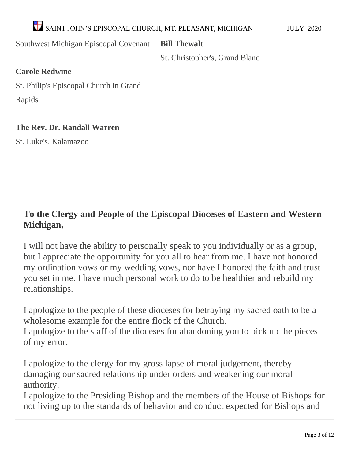# $\blacktriangle$ SAINT JOHN'S EPISCOPAL CHURCH, MT. PLEASANT, MICHIGAN JULY 2020

Southwest Michigan Episcopal Covenant

**Bill Thewalt**

St. Christopher's, Grand Blanc

### **Carole Redwine**

St. Philip's Episcopal Church in Grand Rapids

### **The Rev. Dr. Randall Warren**

St. Luke's, Kalamazoo

### **To the Clergy and People of the Episcopal Dioceses of Eastern and Western Michigan,**

I will not have the ability to personally speak to you individually or as a group, but I appreciate the opportunity for you all to hear from me. I have not honored my ordination vows or my wedding vows, nor have I honored the faith and trust you set in me. I have much personal work to do to be healthier and rebuild my relationships.

I apologize to the people of these dioceses for betraying my sacred oath to be a wholesome example for the entire flock of the Church.

I apologize to the staff of the dioceses for abandoning you to pick up the pieces of my error.

I apologize to the clergy for my gross lapse of moral judgement, thereby damaging our sacred relationship under orders and weakening our moral authority.

I apologize to the Presiding Bishop and the members of the House of Bishops for not living up to the standards of behavior and conduct expected for Bishops and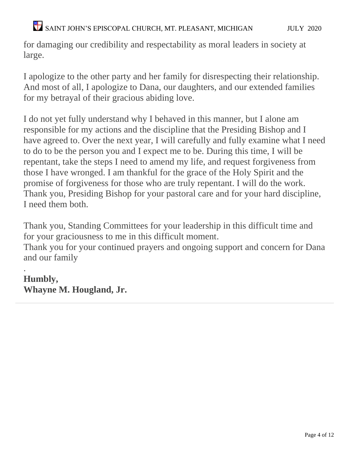### $\blacktriangleright$  SAINT JOHN'S EPISCOPAL CHURCH, MT. PLEASANT, MICHIGAN  $\textsc{JULY}$  2020

for damaging our credibility and respectability as moral leaders in society at large.

I apologize to the other party and her family for disrespecting their relationship. And most of all, I apologize to Dana, our daughters, and our extended families for my betrayal of their gracious abiding love.

I do not yet fully understand why I behaved in this manner, but I alone am responsible for my actions and the discipline that the Presiding Bishop and I have agreed to. Over the next year, I will carefully and fully examine what I need to do to be the person you and I expect me to be. During this time, I will be repentant, take the steps I need to amend my life, and request forgiveness from those I have wronged. I am thankful for the grace of the Holy Spirit and the promise of forgiveness for those who are truly repentant. I will do the work. Thank you, Presiding Bishop for your pastoral care and for your hard discipline, I need them both.

Thank you, Standing Committees for your leadership in this difficult time and for your graciousness to me in this difficult moment.

Thank you for your continued prayers and ongoing support and concern for Dana and our family

. **Humbly, Whayne M. Hougland, Jr.**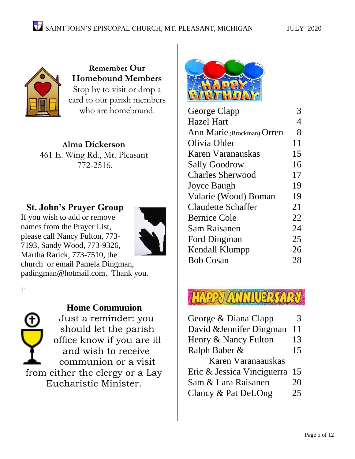

**Remember Our Homebound Members** Stop by to visit or drop a card to our parish members who are homebound.

**Alma Dickerson** 461 E. Wing Rd., Mt. Pleasant 772-2516.

### **St. John's Prayer Group**

If you wish to add or remove names from the Prayer List, please call Nancy Fulton, 773- 7193, Sandy Wood, 773-9326, Martha Rarick, 773-7510, the



church or email Pamela Dingman, [padingman@hotmail.com.](mailto:padingman@hotmail.com) Thank you.

T



### **Home Communion**

Just a reminder: you should let the parish office know if you are ill and wish to receive communion or a visit from either the clergy or a Lay Eucharistic Minister.



| George Clapp               | 3              |
|----------------------------|----------------|
| <b>Hazel Hart</b>          | $\overline{4}$ |
| Ann Marie (Brockman) Orren | 8              |
| Olivia Ohler               | 11             |
| Karen Varanauskas          | 15             |
| <b>Sally Goodrow</b>       | 16             |
| <b>Charles Sherwood</b>    | 17             |
| <b>Joyce Baugh</b>         | 19             |
| Valarie (Wood) Boman       | 19             |
| <b>Claudette Schaffer</b>  | 21             |
| <b>Bernice Cole</b>        | 22             |
| Sam Raisanen               | 24             |
| Ford Dingman               | 25             |
| Kendall Klumpp             | 26             |
| <b>Bob Cosan</b>           | 28             |
|                            |                |

| George & Diana Clapp       |    |
|----------------------------|----|
| David & Jennifer Dingman   | 11 |
| Henry & Nancy Fulton       | 13 |
| Ralph Baber &              | 15 |
| Karen Varanaauskas         |    |
| Eric & Jessica Vinciguerra | 15 |
| Sam & Lara Raisanen        | 20 |
| Clancy & Pat DeLOng        | 25 |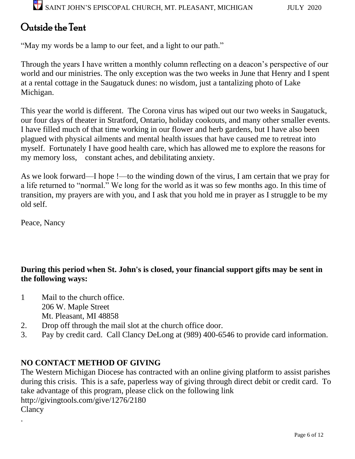## Outside the Tent

"May my words be a lamp to our feet, and a light to our path."

Through the years I have written a monthly column reflecting on a deacon's perspective of our world and our ministries. The only exception was the two weeks in June that Henry and I spent at a rental cottage in the Saugatuck dunes: no wisdom, just a tantalizing photo of Lake Michigan.

This year the world is different. The Corona virus has wiped out our two weeks in Saugatuck, our four days of theater in Stratford, Ontario, holiday cookouts, and many other smaller events. I have filled much of that time working in our flower and herb gardens, but I have also been plagued with physical ailments and mental health issues that have caused me to retreat into myself. Fortunately I have good health care, which has allowed me to explore the reasons for my memory loss, constant aches, and debilitating anxiety.

As we look forward—I hope !—to the winding down of the virus, I am certain that we pray for a life returned to "normal." We long for the world as it was so few months ago. In this time of transition, my prayers are with you, and I ask that you hold me in prayer as I struggle to be my old self.

Peace, Nancy

.

### **During this period when St. John's is closed, your financial support gifts may be sent in the following ways:**

- 1 Mail to the church office. 206 W. Maple Street Mt. Pleasant, MI 48858
- 2. Drop off through the mail slot at the church office door.
- 3. Pay by credit card. Call Clancy DeLong at (989) 400-6546 to provide card information.

### **NO CONTACT METHOD OF GIVING**

The Western Michigan Diocese has contracted with an online giving platform to assist parishes during this crisis. This is a safe, paperless way of giving through direct debit or credit card. To take advantage of this program, please click on the following link <http://givingtools.com/give/1276/2180> Clancy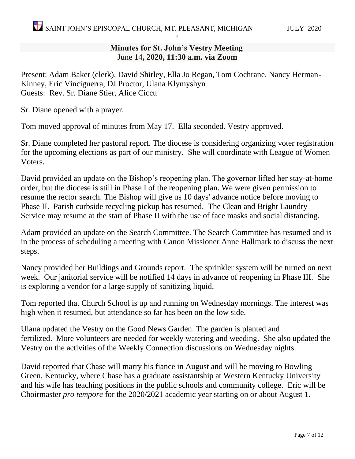### **Minutes for St. John's Vestry Meeting** June 14**, 2020, 11:30 a.m. via Zoom**

S

Present: Adam Baker (clerk), David Shirley, Ella Jo Regan, Tom Cochrane, Nancy Herman-Kinney, Eric Vinciguerra, DJ Proctor, Ulana Klymyshyn Guests: Rev. Sr. Diane Stier, Alice Ciccu

Sr. Diane opened with a prayer.

Tom moved approval of minutes from May 17. Ella seconded. Vestry approved.

Sr. Diane completed her pastoral report. The diocese is considering organizing voter registration for the upcoming elections as part of our ministry. She will coordinate with League of Women Voters.

David provided an update on the Bishop's reopening plan. The governor lifted her stay-at-home order, but the diocese is still in Phase I of the reopening plan. We were given permission to resume the rector search. The Bishop will give us 10 days' advance notice before moving to Phase II. Parish curbside recycling pickup has resumed. The Clean and Bright Laundry Service may resume at the start of Phase II with the use of face masks and social distancing.

Adam provided an update on the Search Committee. The Search Committee has resumed and is in the process of scheduling a meeting with Canon Missioner Anne Hallmark to discuss the next steps.

Nancy provided her Buildings and Grounds report. The sprinkler system will be turned on next week. Our janitorial service will be notified 14 days in advance of reopening in Phase III. She is exploring a vendor for a large supply of sanitizing liquid.

Tom reported that Church School is up and running on Wednesday mornings. The interest was high when it resumed, but attendance so far has been on the low side.

Ulana updated the Vestry on the Good News Garden. The garden is planted and fertilized. More volunteers are needed for weekly watering and weeding. She also updated the Vestry on the activities of the Weekly Connection discussions on Wednesday nights.

David reported that Chase will marry his fiance in August and will be moving to Bowling Green, Kentucky, where Chase has a graduate assistantship at Western Kentucky University and his wife has teaching positions in the public schools and community college. Eric will be Choirmaster *pro tempore* for the 2020/2021 academic year starting on or about August 1.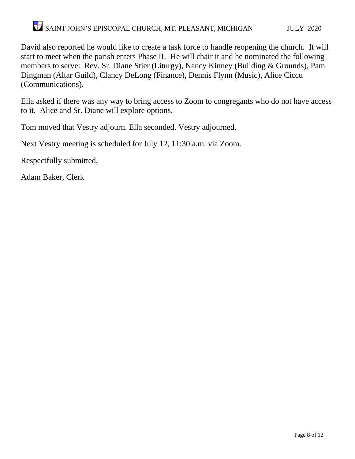# $\bullet$  SAINT JOHN'S EPISCOPAL CHURCH, MT. PLEASANT, MICHIGAN  $\bullet$  JULY 2020

David also reported he would like to create a task force to handle reopening the church. It will start to meet when the parish enters Phase II. He will chair it and he nominated the following members to serve: Rev. Sr. Diane Stier (Liturgy), Nancy Kinney (Building & Grounds), Pam Dingman (Altar Guild), Clancy DeLong (Finance), Dennis Flynn (Music), Alice Ciccu (Communications).

Ella asked if there was any way to bring access to Zoom to congregants who do not have access to it. Alice and Sr. Diane will explore options.

Tom moved that Vestry adjourn. Ella seconded. Vestry adjourned.

Next Vestry meeting is scheduled for July 12, 11:30 a.m. via Zoom.

Respectfully submitted,

Adam Baker, Clerk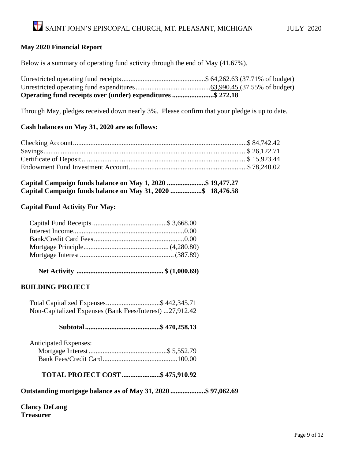#### **May 2020 Financial Report**

Below is a summary of operating fund activity through the end of May (41.67%).

| Operating fund receipts over (under) expenditures \$ 272.18 |  |
|-------------------------------------------------------------|--|

Through May, pledges received down nearly 3%. Please confirm that your pledge is up to date.

#### **Cash balances on May 31, 2020 are as follows:**

| Capital Campaign funds balance on May 1, 2020 \$ 19,477.27  |  |
|-------------------------------------------------------------|--|
| Capital Campaign funds balance on May 31, 2020 \$ 18,476.58 |  |

#### **Capital Fund Activity For May:**

|--|--|--|--|--|--|

### **BUILDING PROJECT**

 Total Capitalized Expenses...............................\$ 442,345.71 Non-Capitalized Expenses (Bank Fees/Interest) ...27,912.42

#### **Subtotal...........................................\$ 470,258.13**

| <b>Anticipated Expenses:</b> |  |
|------------------------------|--|
|                              |  |
|                              |  |

**TOTAL PROJECT COST......................\$ 475,910.92**

**Outstanding mortgage balance as of May 31, 2020 ....................\$ 97,062.69**

**Clancy DeLong Treasurer**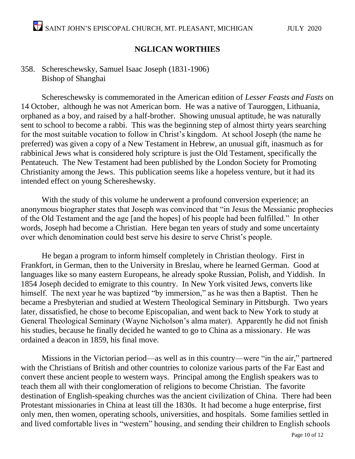### **NGLICAN WORTHIES**

### 358. Schereschewsky, Samuel Isaac Joseph (1831-1906) Bishop of Shanghai

Schereschewsky is commemorated in the American edition of *Lesser Feasts and Fasts* on 14 October, although he was not American born. He was a native of Tauroggen, Lithuania, orphaned as a boy, and raised by a half-brother. Showing unusual aptitude, he was naturally sent to school to become a rabbi. This was the beginning step of almost thirty years searching for the most suitable vocation to follow in Christ's kingdom. At school Joseph (the name he preferred) was given a copy of a New Testament in Hebrew, an unusual gift, inasmuch as for rabbinical Jews what is considered holy scripture is just the Old Testament, specifically the Pentateuch. The New Testament had been published by the London Society for Promoting Christianity among the Jews. This publication seems like a hopeless venture, but it had its intended effect on young Schereshewsky.

With the study of this volume he underwent a profound conversion experience; an anonymous biographer states that Joseph was convinced that "in Jesus the Messianic prophecies of the Old Testament and the age [and the hopes] of his people had been fulfilled." In other words, Joseph had become a Christian. Here began ten years of study and some uncertainty over which denomination could best serve his desire to serve Christ's people.

He began a program to inform himself completely in Christian theology. First in Frankfort, in German, then to the University in Breslau, where he learned German. Good at languages like so many eastern Europeans, he already spoke Russian, Polish, and Yiddish. In 1854 Joseph decided to emigrate to this country. In New York visited Jews, converts like himself. The next year he was baptized "by immersion," as he was then a Baptist. Then he became a Presbyterian and studied at Western Theological Seminary in Pittsburgh. Two years later, dissatisfied, he chose to become Episcopalian, and went back to New York to study at General Theological Seminary (Wayne Nicholson's alma mater). Apparently he did not finish his studies, because he finally decided he wanted to go to China as a missionary. He was ordained a deacon in 1859, his final move.

Missions in the Victorian period—as well as in this country—were "in the air," partnered with the Christians of British and other countries to colonize various parts of the Far East and convert these ancient people to western ways. Principal among the English speakers was to teach them all with their conglomeration of religions to become Christian. The favorite destination of English-speaking churches was the ancient civilization of China. There had been Protestant missionaries in China at least till the 1830s. It had become a huge enterprise, first only men, then women, operating schools, universities, and hospitals. Some families settled in and lived comfortable lives in "western" housing, and sending their children to English schools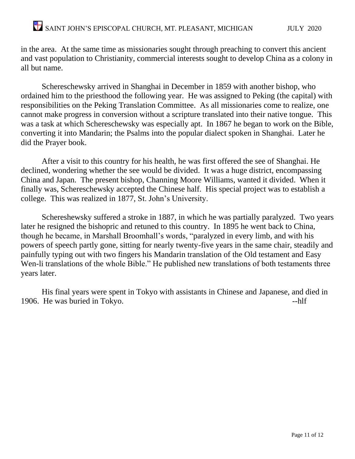in the area. At the same time as missionaries sought through preaching to convert this ancient and vast population to Christianity, commercial interests sought to develop China as a colony in all but name.

Schereschewsky arrived in Shanghai in December in 1859 with another bishop, who ordained him to the priesthood the following year. He was assigned to Peking (the capital) with responsibilities on the Peking Translation Committee. As all missionaries come to realize, one cannot make progress in conversion without a scripture translated into their native tongue. This was a task at which Schereschewsky was especially apt. In 1867 he began to work on the Bible, converting it into Mandarin; the Psalms into the popular dialect spoken in Shanghai. Later he did the Prayer book.

After a visit to this country for his health, he was first offered the see of Shanghai. He declined, wondering whether the see would be divided. It was a huge district, encompassing China and Japan. The present bishop, Channing Moore Williams, wanted it divided. When it finally was, Schereschewsky accepted the Chinese half. His special project was to establish a college. This was realized in 1877, St. John's University.

Schereshewsky suffered a stroke in 1887, in which he was partially paralyzed. Two years later he resigned the bishopric and retuned to this country. In 1895 he went back to China, though he became, in Marshall Broomhall's words, "paralyzed in every limb, and with his powers of speech partly gone, sitting for nearly twenty-five years in the same chair, steadily and painfully typing out with two fingers his Mandarin translation of the Old testament and Easy Wen-li translations of the whole Bible." He published new translations of both testaments three years later.

His final years were spent in Tokyo with assistants in Chinese and Japanese, and died in 1906. He was buried in Tokyo.  $\blacksquare$